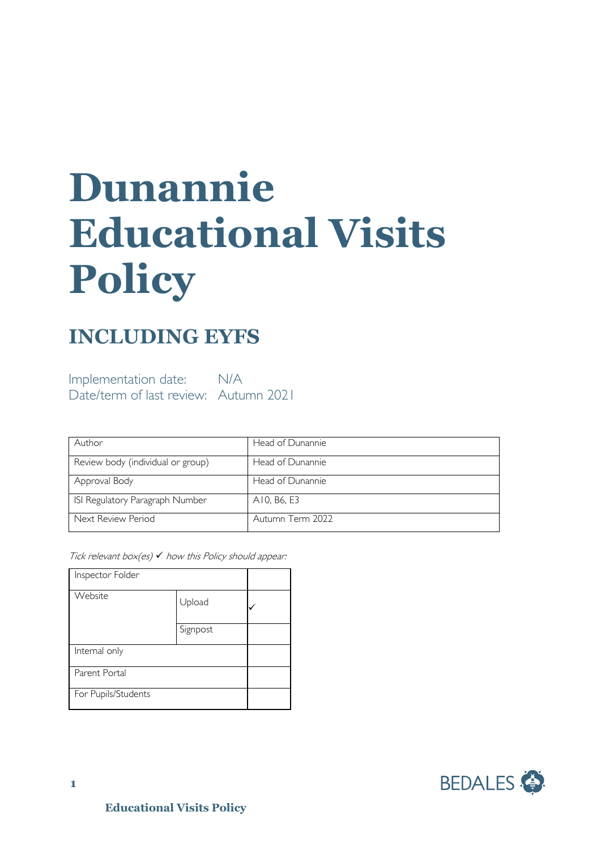# **Dunannie Educational Visits Policy**

## **INCLUDING EYFS**

Implementation date: N/A Date/term of last review: Autumn 2021

| Author                            | Head of Dunannie |
|-----------------------------------|------------------|
| Review body (individual or group) | Head of Dunannie |
| Approval Body                     | Head of Dunannie |
| ISI Regulatory Paragraph Number   | A10, B6, E3      |
| Next Review Period                | Autumn Term 2022 |

Tick relevant box(es)  $\checkmark$  how this Policy should appear:

| Inspector Folder    |          |  |
|---------------------|----------|--|
| Website             | Upload   |  |
|                     | Signpost |  |
| Internal only       |          |  |
| Parent Portal       |          |  |
| For Pupils/Students |          |  |

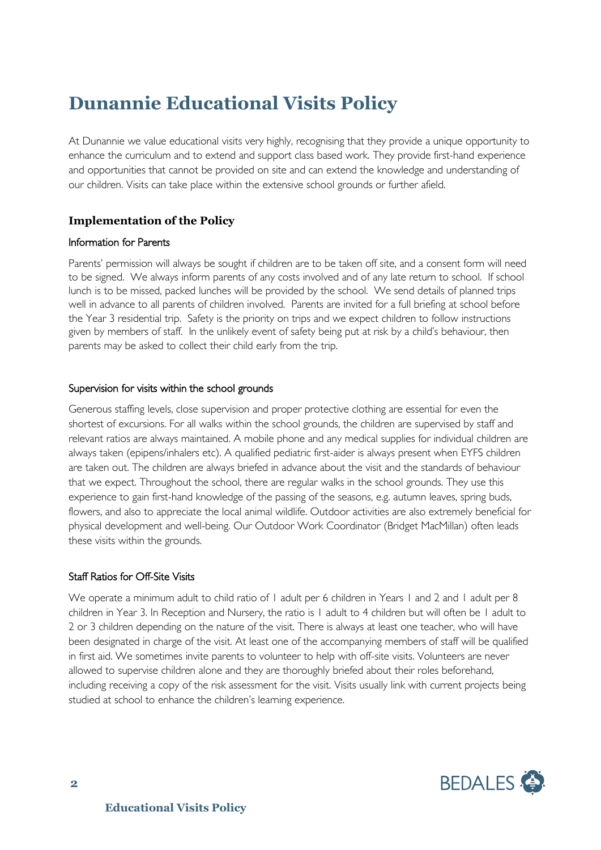## **Dunannie Educational Visits Policy**

At Dunannie we value educational visits very highly, recognising that they provide a unique opportunity to enhance the curriculum and to extend and support class based work. They provide first-hand experience and opportunities that cannot be provided on site and can extend the knowledge and understanding of our children. Visits can take place within the extensive school grounds or further afield.

#### **Implementation of the Policy**

#### Information for Parents

Parents' permission will always be sought if children are to be taken off site, and a consent form will need to be signed. We always inform parents of any costs involved and of any late return to school. If school lunch is to be missed, packed lunches will be provided by the school. We send details of planned trips well in advance to all parents of children involved. Parents are invited for a full briefing at school before the Year 3 residential trip. Safety is the priority on trips and we expect children to follow instructions given by members of staff. In the unlikely event of safety being put at risk by a child's behaviour, then parents may be asked to collect their child early from the trip.

#### Supervision for visits within the school grounds

Generous staffing levels, close supervision and proper protective clothing are essential for even the shortest of excursions. For all walks within the school grounds, the children are supervised by staff and relevant ratios are always maintained. A mobile phone and any medical supplies for individual children are always taken (epipens/inhalers etc). A qualified pediatric first-aider is always present when EYFS children are taken out. The children are always briefed in advance about the visit and the standards of behaviour that we expect. Throughout the school, there are regular walks in the school grounds. They use this experience to gain first-hand knowledge of the passing of the seasons, e.g. autumn leaves, spring buds, flowers, and also to appreciate the local animal wildlife. Outdoor activities are also extremely beneficial for physical development and well-being. Our Outdoor Work Coordinator (Bridget MacMillan) often leads these visits within the grounds.

#### Staff Ratios for Off-Site Visits

We operate a minimum adult to child ratio of I adult per 6 children in Years I and 2 and I adult per 8 children in Year 3. In Reception and Nursery, the ratio is 1 adult to 4 children but will often be 1 adult to 2 or 3 children depending on the nature of the visit. There is always at least one teacher, who will have been designated in charge of the visit. At least one of the accompanying members of staff will be qualified in first aid. We sometimes invite parents to volunteer to help with off-site visits. Volunteers are never allowed to supervise children alone and they are thoroughly briefed about their roles beforehand, including receiving a copy of the risk assessment for the visit. Visits usually link with current projects being studied at school to enhance the children's learning experience.

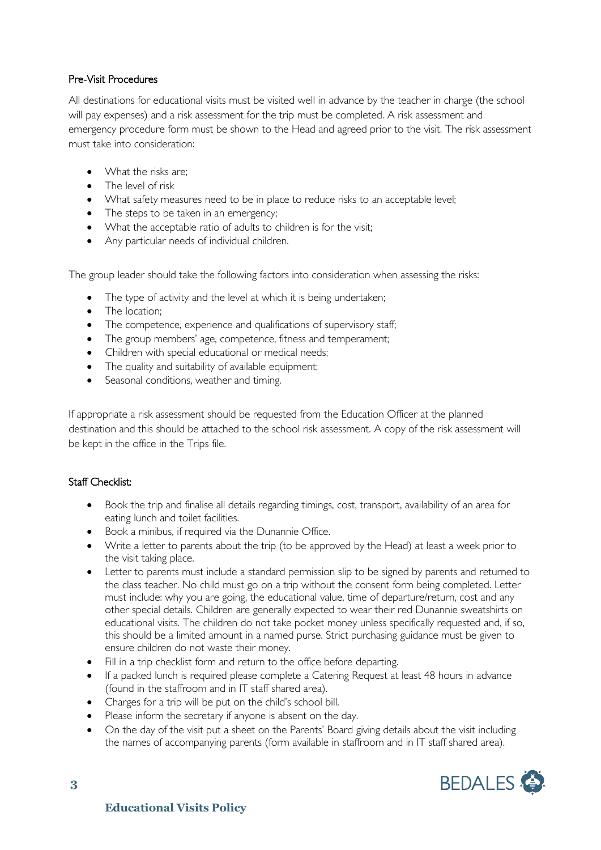#### Pre-Visit Procedures

All destinations for educational visits must be visited well in advance by the teacher in charge (the school will pay expenses) and a risk assessment for the trip must be completed. A risk assessment and emergency procedure form must be shown to the Head and agreed prior to the visit. The risk assessment must take into consideration:

- What the risks are:
- The level of risk
- What safety measures need to be in place to reduce risks to an acceptable level;
- The steps to be taken in an emergency;
- What the acceptable ratio of adults to children is for the visit;
- Any particular needs of individual children.

The group leader should take the following factors into consideration when assessing the risks:

- The type of activity and the level at which it is being undertaken;
- The location;
- The competence, experience and qualifications of supervisory staff;
- The group members' age, competence, fitness and temperament;
- Children with special educational or medical needs;
- The quality and suitability of available equipment;
- Seasonal conditions, weather and timing.

If appropriate a risk assessment should be requested from the Education Officer at the planned destination and this should be attached to the school risk assessment. A copy of the risk assessment will be kept in the office in the Trips file.

#### Staff Checklist:

- Book the trip and finalise all details regarding timings, cost, transport, availability of an area for eating lunch and toilet facilities.
- Book a minibus, if required via the Dunannie Office.
- Write a letter to parents about the trip (to be approved by the Head) at least a week prior to the visit taking place.
- Letter to parents must include a standard permission slip to be signed by parents and returned to the class teacher. No child must go on a trip without the consent form being completed. Letter must include: why you are going, the educational value, time of departure/return, cost and any other special details. Children are generally expected to wear their red Dunannie sweatshirts on educational visits. The children do not take pocket money unless specifically requested and, if so, this should be a limited amount in a named purse. Strict purchasing guidance must be given to ensure children do not waste their money.
- Fill in a trip checklist form and return to the office before departing.
- If a packed lunch is required please complete a Catering Request at least 48 hours in advance (found in the staffroom and in IT staff shared area).
- Charges for a trip will be put on the child's school bill.
- Please inform the secretary if anyone is absent on the day.
- On the day of the visit put a sheet on the Parents' Board giving details about the visit including the names of accompanying parents (form available in staffroom and in IT staff shared area).

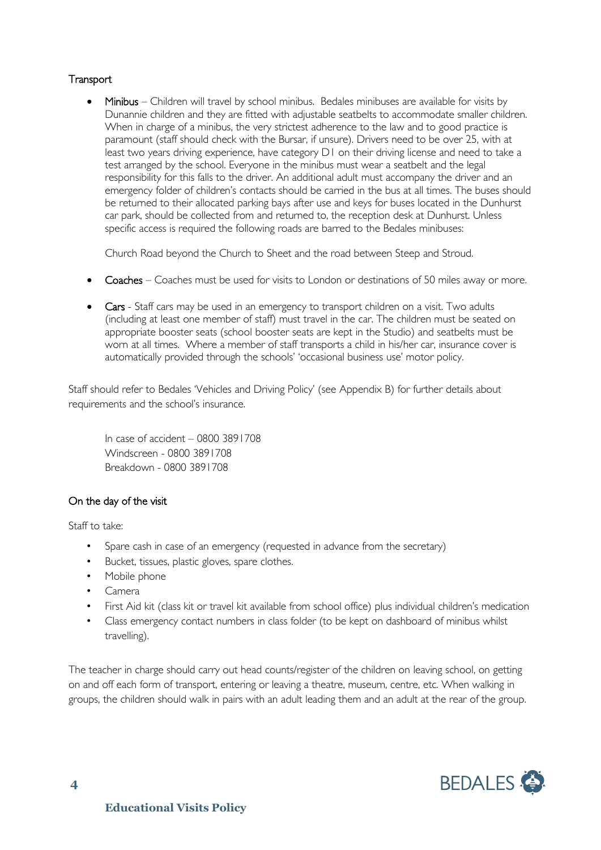#### **Transport**

• Minibus – Children will travel by school minibus. Bedales minibuses are available for visits by Dunannie children and they are fitted with adjustable seatbelts to accommodate smaller children. When in charge of a minibus, the very strictest adherence to the law and to good practice is paramount (staff should check with the Bursar, if unsure). Drivers need to be over 25, with at least two years driving experience, have category D1 on their driving license and need to take a test arranged by the school. Everyone in the minibus must wear a seatbelt and the legal responsibility for this falls to the driver. An additional adult must accompany the driver and an emergency folder of children's contacts should be carried in the bus at all times. The buses should be returned to their allocated parking bays after use and keys for buses located in the Dunhurst car park, should be collected from and returned to, the reception desk at Dunhurst. Unless specific access is required the following roads are barred to the Bedales minibuses:

Church Road beyond the Church to Sheet and the road between Steep and Stroud.

- Coaches Coaches must be used for visits to London or destinations of 50 miles away or more.
- Cars Staff cars may be used in an emergency to transport children on a visit. Two adults (including at least one member of staff) must travel in the car. The children must be seated on appropriate booster seats (school booster seats are kept in the Studio) and seatbelts must be worn at all times. Where a member of staff transports a child in his/her car, insurance cover is automatically provided through the schools' 'occasional business use' motor policy.

Staff should refer to Bedales 'Vehicles and Driving Policy' (see Appendix B) for further details about requirements and the school's insurance.

In case of accident – 0800 3891708 Windscreen - 0800 3891708 Breakdown - 0800 3891708

#### On the day of the visit

Staff to take:

- Spare cash in case of an emergency (requested in advance from the secretary)
- Bucket, tissues, plastic gloves, spare clothes.
- Mobile phone
- Camera
- First Aid kit (class kit or travel kit available from school office) plus individual children's medication
- Class emergency contact numbers in class folder (to be kept on dashboard of minibus whilst travelling).

The teacher in charge should carry out head counts/register of the children on leaving school, on getting on and off each form of transport, entering or leaving a theatre, museum, centre, etc. When walking in groups, the children should walk in pairs with an adult leading them and an adult at the rear of the group.

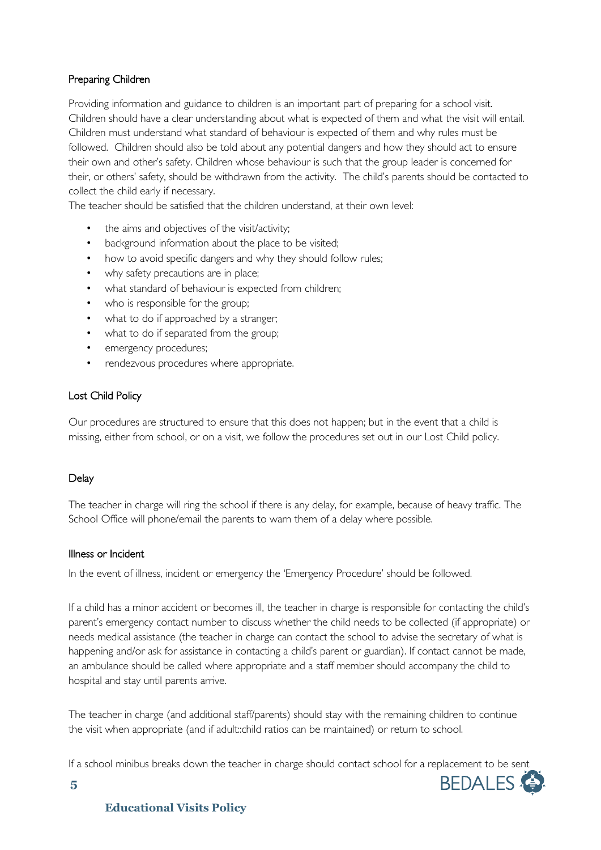#### Preparing Children

Providing information and guidance to children is an important part of preparing for a school visit. Children should have a clear understanding about what is expected of them and what the visit will entail. Children must understand what standard of behaviour is expected of them and why rules must be followed. Children should also be told about any potential dangers and how they should act to ensure their own and other's safety. Children whose behaviour is such that the group leader is concerned for their, or others' safety, should be withdrawn from the activity. The child's parents should be contacted to collect the child early if necessary.

The teacher should be satisfied that the children understand, at their own level:

- the aims and objectives of the visit/activity;
- background information about the place to be visited;
- how to avoid specific dangers and why they should follow rules;
- why safety precautions are in place;
- what standard of behaviour is expected from children;
- who is responsible for the group;
- what to do if approached by a stranger;
- what to do if separated from the group;
- emergency procedures;
- rendezvous procedures where appropriate.

#### Lost Child Policy

Our procedures are structured to ensure that this does not happen; but in the event that a child is missing, either from school, or on a visit, we follow the procedures set out in our Lost Child policy.

#### **Delay**

The teacher in charge will ring the school if there is any delay, for example, because of heavy traffic. The School Office will phone/email the parents to warn them of a delay where possible.

#### Illness or Incident

In the event of illness, incident or emergency the 'Emergency Procedure' should be followed.

If a child has a minor accident or becomes ill, the teacher in charge is responsible for contacting the child's parent's emergency contact number to discuss whether the child needs to be collected (if appropriate) or needs medical assistance (the teacher in charge can contact the school to advise the secretary of what is happening and/or ask for assistance in contacting a child's parent or guardian). If contact cannot be made, an ambulance should be called where appropriate and a staff member should accompany the child to hospital and stay until parents arrive.

The teacher in charge (and additional staff/parents) should stay with the remaining children to continue the visit when appropriate (and if adult::child ratios can be maintained) or return to school.

If a school minibus breaks down the teacher in charge should contact school for a replacement to be sent



#### **Educational Visits Policy**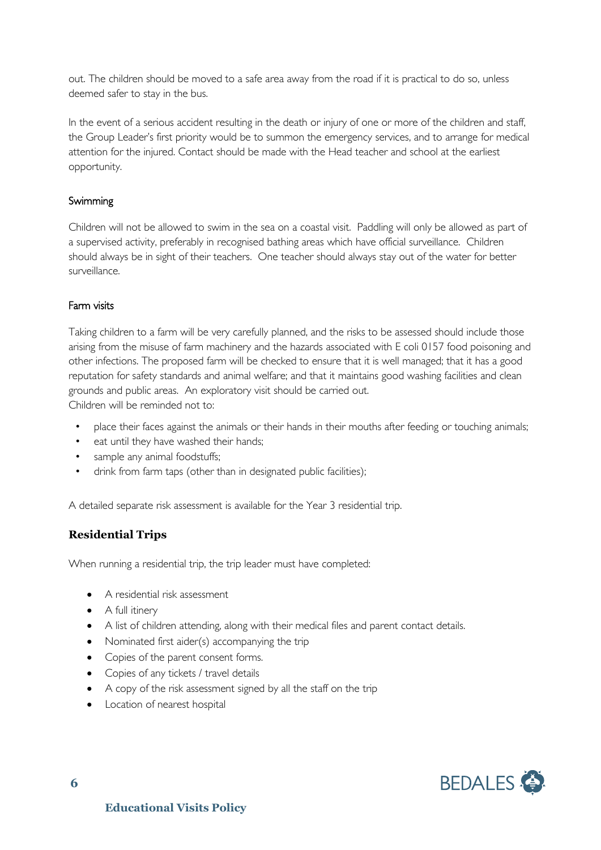out. The children should be moved to a safe area away from the road if it is practical to do so, unless deemed safer to stay in the bus.

In the event of a serious accident resulting in the death or injury of one or more of the children and staff, the Group Leader's first priority would be to summon the emergency services, and to arrange for medical attention for the injured. Contact should be made with the Head teacher and school at the earliest opportunity.

#### Swimming

Children will not be allowed to swim in the sea on a coastal visit. Paddling will only be allowed as part of a supervised activity, preferably in recognised bathing areas which have official surveillance. Children should always be in sight of their teachers. One teacher should always stay out of the water for better surveillance.

#### Farm visits

Taking children to a farm will be very carefully planned, and the risks to be assessed should include those arising from the misuse of farm machinery and the hazards associated with E coli 0157 food poisoning and other infections. The proposed farm will be checked to ensure that it is well managed; that it has a good reputation for safety standards and animal welfare; and that it maintains good washing facilities and clean grounds and public areas. An exploratory visit should be carried out.

Children will be reminded not to:

- place their faces against the animals or their hands in their mouths after feeding or touching animals;
- eat until they have washed their hands;
- sample any animal foodstuffs;
- drink from farm taps (other than in designated public facilities);

A detailed separate risk assessment is available for the Year 3 residential trip.

#### **Residential Trips**

When running a residential trip, the trip leader must have completed:

- A residential risk assessment
- A full itinery
- A list of children attending, along with their medical files and parent contact details.
- Nominated first aider(s) accompanying the trip
- Copies of the parent consent forms.
- Copies of any tickets / travel details
- A copy of the risk assessment signed by all the staff on the trip
- Location of nearest hospital

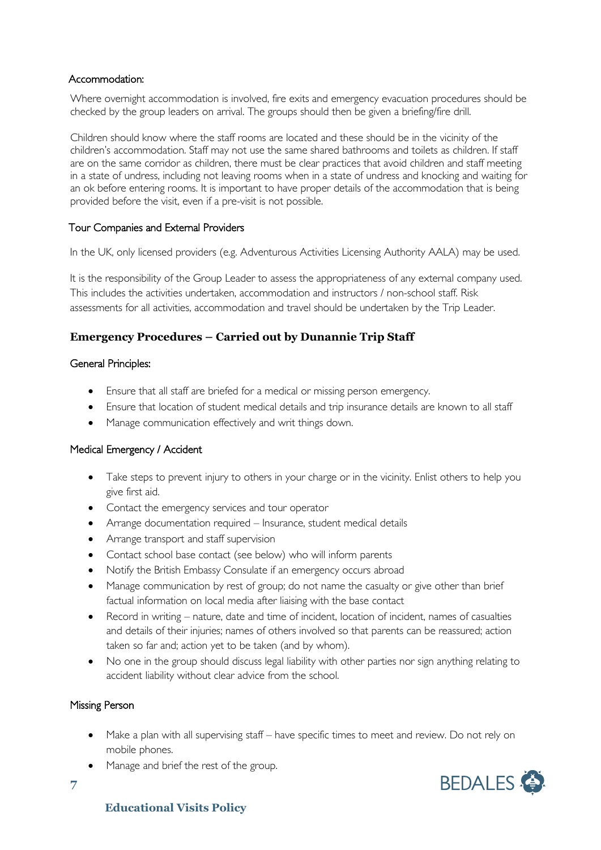#### Accommodation:

Where overnight accommodation is involved, fire exits and emergency evacuation procedures should be checked by the group leaders on arrival. The groups should then be given a briefing/fire drill.

Children should know where the staff rooms are located and these should be in the vicinity of the children's accommodation. Staff may not use the same shared bathrooms and toilets as children. If staff are on the same corridor as children, there must be clear practices that avoid children and staff meeting in a state of undress, including not leaving rooms when in a state of undress and knocking and waiting for an ok before entering rooms. It is important to have proper details of the accommodation that is being provided before the visit, even if a pre-visit is not possible.

#### Tour Companies and External Providers

In the UK, only licensed providers (e.g. Adventurous Activities Licensing Authority AALA) may be used.

It is the responsibility of the Group Leader to assess the appropriateness of any external company used. This includes the activities undertaken, accommodation and instructors / non-school staff. Risk assessments for all activities, accommodation and travel should be undertaken by the Trip Leader.

#### **Emergency Procedures – Carried out by Dunannie Trip Staff**

#### General Principles:

- Ensure that all staff are briefed for a medical or missing person emergency.
- Ensure that location of student medical details and trip insurance details are known to all staff
- Manage communication effectively and writ things down.

#### Medical Emergency / Accident

- Take steps to prevent injury to others in your charge or in the vicinity. Enlist others to help you give first aid.
- Contact the emergency services and tour operator
- Arrange documentation required Insurance, student medical details
- Arrange transport and staff supervision
- Contact school base contact (see below) who will inform parents
- Notify the British Embassy Consulate if an emergency occurs abroad
- Manage communication by rest of group; do not name the casualty or give other than brief factual information on local media after liaising with the base contact
- Record in writing nature, date and time of incident, location of incident, names of casualties and details of their injuries; names of others involved so that parents can be reassured; action taken so far and; action yet to be taken (and by whom).
- No one in the group should discuss legal liability with other parties nor sign anything relating to accident liability without clear advice from the school.

#### Missing Person

- Make a plan with all supervising staff have specific times to meet and review. Do not rely on mobile phones.
- Manage and brief the rest of the group.

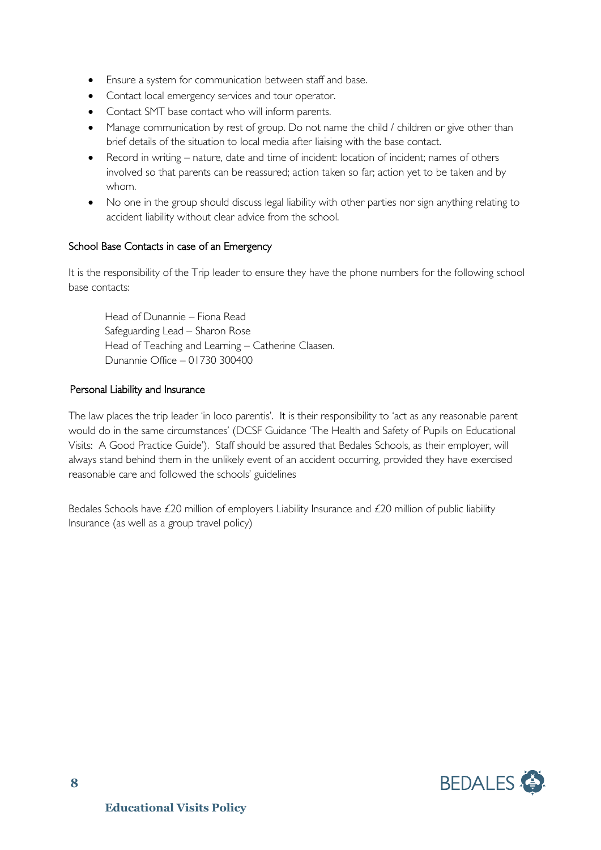- Ensure a system for communication between staff and base.
- Contact local emergency services and tour operator.
- Contact SMT base contact who will inform parents.
- Manage communication by rest of group. Do not name the child / children or give other than brief details of the situation to local media after liaising with the base contact.
- Record in writing nature, date and time of incident: location of incident; names of others involved so that parents can be reassured; action taken so far; action yet to be taken and by whom.
- No one in the group should discuss legal liability with other parties nor sign anything relating to accident liability without clear advice from the school.

#### School Base Contacts in case of an Emergency

It is the responsibility of the Trip leader to ensure they have the phone numbers for the following school base contacts:

Head of Dunannie – Fiona Read Safeguarding Lead – Sharon Rose Head of Teaching and Learning – Catherine Claasen. Dunannie Office – 01730 300400

#### Personal Liability and Insurance

The law places the trip leader 'in loco parentis'. It is their responsibility to 'act as any reasonable parent would do in the same circumstances' (DCSF Guidance 'The Health and Safety of Pupils on Educational Visits: A Good Practice Guide'). Staff should be assured that Bedales Schools, as their employer, will always stand behind them in the unlikely event of an accident occurring, provided they have exercised reasonable care and followed the schools' guidelines

Bedales Schools have £20 million of employers Liability Insurance and £20 million of public liability Insurance (as well as a group travel policy)

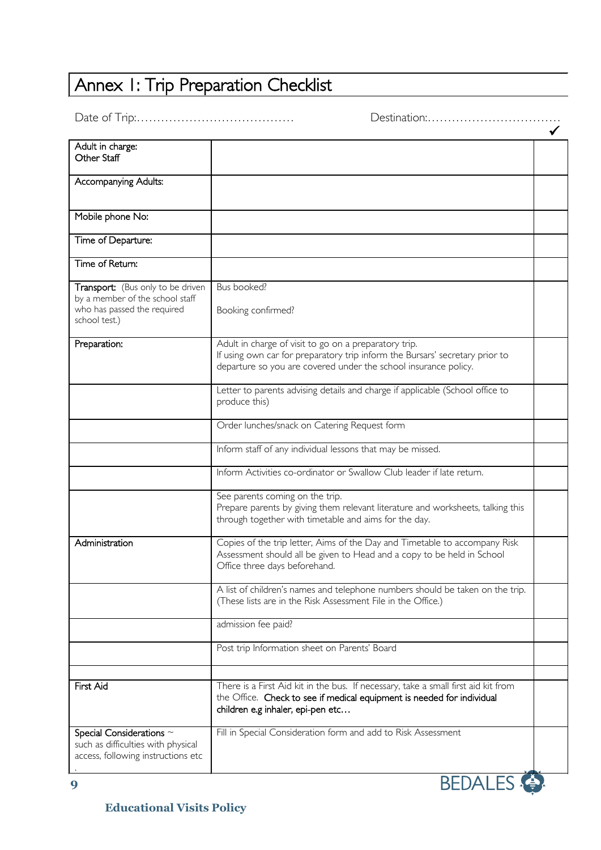## Annex I: Trip Preparation Checklist

Date of Trip:………………………………… Destination:……………………………

| Adult in charge:                                                         |                                                                                                                                          |  |
|--------------------------------------------------------------------------|------------------------------------------------------------------------------------------------------------------------------------------|--|
| Other Staff                                                              |                                                                                                                                          |  |
|                                                                          |                                                                                                                                          |  |
| Accompanying Adults:                                                     |                                                                                                                                          |  |
|                                                                          |                                                                                                                                          |  |
| Mobile phone No:                                                         |                                                                                                                                          |  |
|                                                                          |                                                                                                                                          |  |
| Time of Departure:                                                       |                                                                                                                                          |  |
|                                                                          |                                                                                                                                          |  |
| Time of Return:                                                          |                                                                                                                                          |  |
|                                                                          |                                                                                                                                          |  |
| Transport: (Bus only to be driven                                        | Bus booked?                                                                                                                              |  |
| by a member of the school staff<br>who has passed the required           |                                                                                                                                          |  |
| school test.)                                                            | Booking confirmed?                                                                                                                       |  |
|                                                                          |                                                                                                                                          |  |
| Preparation:                                                             | Adult in charge of visit to go on a preparatory trip.                                                                                    |  |
|                                                                          | If using own car for preparatory trip inform the Bursars' secretary prior to                                                             |  |
|                                                                          | departure so you are covered under the school insurance policy.                                                                          |  |
|                                                                          |                                                                                                                                          |  |
|                                                                          | Letter to parents advising details and charge if applicable (School office to                                                            |  |
|                                                                          | produce this)                                                                                                                            |  |
|                                                                          | Order lunches/snack on Catering Request form                                                                                             |  |
|                                                                          |                                                                                                                                          |  |
|                                                                          | Inform staff of any individual lessons that may be missed.                                                                               |  |
|                                                                          |                                                                                                                                          |  |
|                                                                          | Inform Activities co-ordinator or Swallow Club leader if late return.                                                                    |  |
|                                                                          |                                                                                                                                          |  |
|                                                                          | See parents coming on the trip.                                                                                                          |  |
|                                                                          | Prepare parents by giving them relevant literature and worksheets, talking this<br>through together with timetable and aims for the day. |  |
|                                                                          |                                                                                                                                          |  |
| Administration                                                           | Copies of the trip letter, Aims of the Day and Timetable to accompany Risk                                                               |  |
|                                                                          | Assessment should all be given to Head and a copy to be held in School                                                                   |  |
|                                                                          | Office three days beforehand.                                                                                                            |  |
|                                                                          |                                                                                                                                          |  |
|                                                                          | A list of children's names and telephone numbers should be taken on the trip.                                                            |  |
|                                                                          | (These lists are in the Risk Assessment File in the Office.)                                                                             |  |
|                                                                          | admission fee paid?                                                                                                                      |  |
|                                                                          |                                                                                                                                          |  |
|                                                                          | Post trip Information sheet on Parents' Board                                                                                            |  |
|                                                                          |                                                                                                                                          |  |
|                                                                          |                                                                                                                                          |  |
| First Aid                                                                | There is a First Aid kit in the bus. If necessary, take a small first aid kit from                                                       |  |
|                                                                          | the Office. Check to see if medical equipment is needed for individual                                                                   |  |
|                                                                          | children e.g inhaler, epi-pen etc                                                                                                        |  |
|                                                                          |                                                                                                                                          |  |
| Special Considerations $\sim$                                            | Fill in Special Consideration form and add to Risk Assessment                                                                            |  |
| such as difficulties with physical<br>access, following instructions etc |                                                                                                                                          |  |
|                                                                          |                                                                                                                                          |  |
|                                                                          |                                                                                                                                          |  |

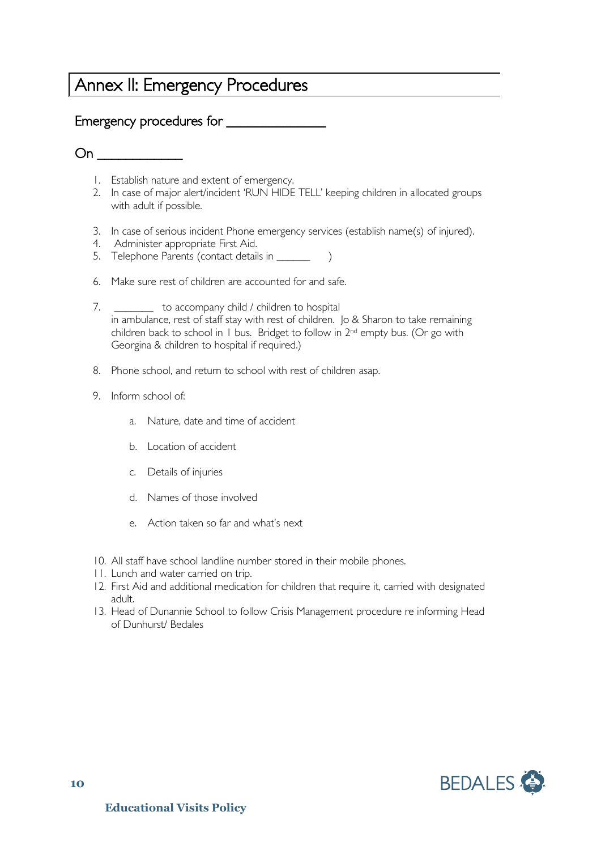### Annex II: Emergency Procedures

#### Emergency procedures for \_\_\_\_\_\_\_\_\_\_\_\_\_\_

 $On \qquad \qquad \blacksquare$ 

- 1. Establish nature and extent of emergency.
- 2. In case of major alert/incident 'RUN HIDE TELL' keeping children in allocated groups with adult if possible.
- 3. In case of serious incident Phone emergency services (establish name(s) of injured).
- 4. Administer appropriate First Aid.
- 5. Telephone Parents (contact details in \_\_\_\_\_\_\_ )
- 6. Make sure rest of children are accounted for and safe.
- 7. \_\_\_\_\_\_\_ to accompany child / children to hospital in ambulance, rest of staff stay with rest of children. Jo & Sharon to take remaining children back to school in 1 bus. Bridget to follow in 2nd empty bus. (Or go with Georgina & children to hospital if required.)
- 8. Phone school, and return to school with rest of children asap.
- 9. Inform school of:
	- a. Nature, date and time of accident
	- b. Location of accident
	- c. Details of injuries
	- d. Names of those involved
	- e. Action taken so far and what's next
- 10. All staff have school landline number stored in their mobile phones.
- 11. Lunch and water carried on trip.
- 12. First Aid and additional medication for children that require it, carried with designated adult.
- 13. Head of Dunannie School to follow Crisis Management procedure re informing Head of Dunhurst/ Bedales

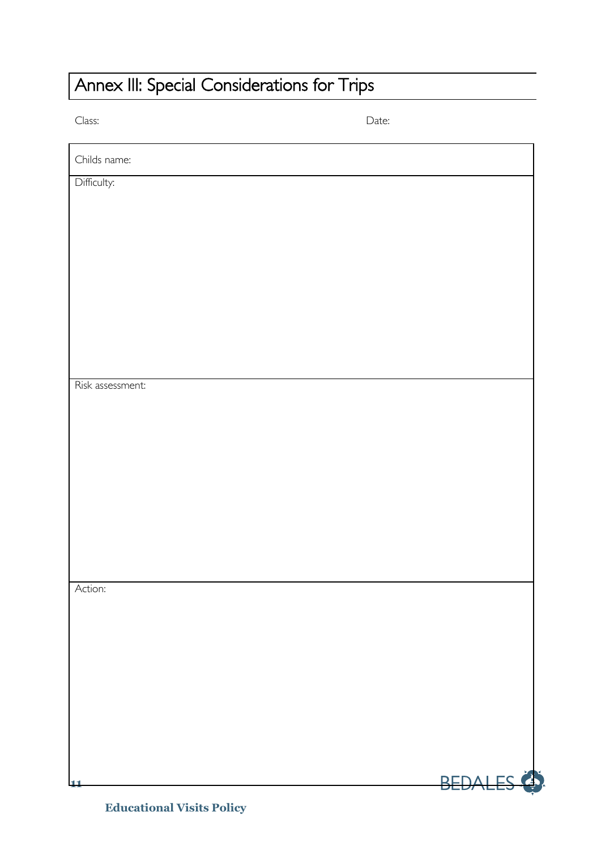## Annex III: Special Considerations for Trips

Class: Date:

| Childs name:     |                        |
|------------------|------------------------|
| Difficulty:      |                        |
|                  |                        |
|                  |                        |
|                  |                        |
|                  |                        |
|                  |                        |
|                  |                        |
|                  |                        |
| Risk assessment: |                        |
|                  |                        |
|                  |                        |
|                  |                        |
|                  |                        |
|                  |                        |
|                  |                        |
|                  |                        |
|                  |                        |
| Action:          |                        |
|                  |                        |
|                  |                        |
|                  |                        |
|                  |                        |
|                  |                        |
|                  |                        |
|                  |                        |
| $\mathbf{1}$     | BEDALES <sup>(3)</sup> |